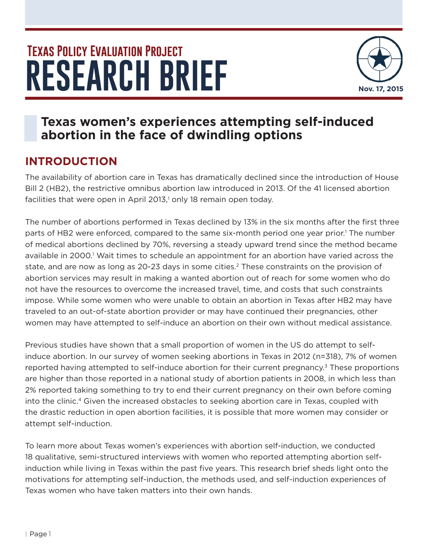# **RESEARCH BRIEF Texas Policy Evaluation Project**



# **Texas women's experiences attempting self-induced abortion in the face of dwindling options**

# **INTRODUCTION**

The availability of abortion care in Texas has dramatically declined since the introduction of House Bill 2 (HB2), the restrictive omnibus abortion law introduced in 2013. Of the 41 licensed abortion facilities that were open in April 2013,<sup>1</sup> only 18 remain open today.

The number of abortions performed in Texas declined by 13% in the six months after the first three parts of HB2 were enforced, compared to the same six-month period one year prior.<sup>1</sup> The number of medical abortions declined by 70%, reversing a steady upward trend since the method became available in 2000.<sup>1</sup> Wait times to schedule an appointment for an abortion have varied across the state, and are now as long as 20-23 days in some cities.<sup>2</sup> These constraints on the provision of abortion services may result in making a wanted abortion out of reach for some women who do not have the resources to overcome the increased travel, time, and costs that such constraints impose. While some women who were unable to obtain an abortion in Texas after HB2 may have traveled to an out-of-state abortion provider or may have continued their pregnancies, other women may have attempted to self-induce an abortion on their own without medical assistance.

Previous studies have shown that a small proportion of women in the US do attempt to selfinduce abortion. In our survey of women seeking abortions in Texas in 2012 (n=318), 7% of women reported having attempted to self-induce abortion for their current pregnancy.<sup>3</sup> These proportions are higher than those reported in a national study of abortion patients in 2008, in which less than 2% reported taking something to try to end their current pregnancy on their own before coming into the clinic.<sup>4</sup> Given the increased obstacles to seeking abortion care in Texas, coupled with the drastic reduction in open abortion facilities, it is possible that more women may consider or attempt self-induction.

To learn more about Texas women's experiences with abortion self-induction, we conducted 18 qualitative, semi-structured interviews with women who reported attempting abortion selfinduction while living in Texas within the past five years. This research brief sheds light onto the motivations for attempting self-induction, the methods used, and self-induction experiences of Texas women who have taken matters into their own hands.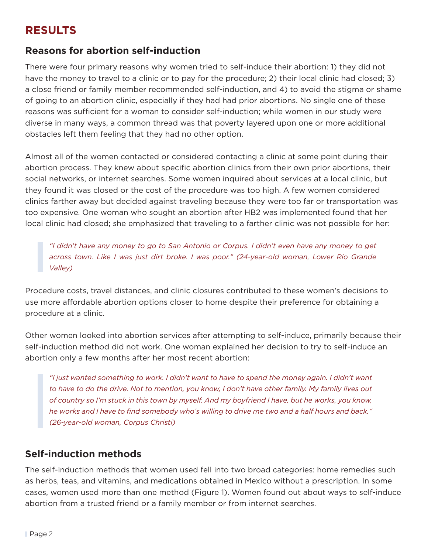## **RESULTS**

#### **Reasons for abortion self-induction**

There were four primary reasons why women tried to self-induce their abortion: 1) they did not have the money to travel to a clinic or to pay for the procedure; 2) their local clinic had closed; 3) a close friend or family member recommended self-induction, and 4) to avoid the stigma or shame of going to an abortion clinic, especially if they had had prior abortions. No single one of these reasons was sufficient for a woman to consider self-induction; while women in our study were diverse in many ways, a common thread was that poverty layered upon one or more additional obstacles left them feeling that they had no other option.

Almost all of the women contacted or considered contacting a clinic at some point during their abortion process. They knew about specific abortion clinics from their own prior abortions, their social networks, or internet searches. Some women inquired about services at a local clinic, but they found it was closed or the cost of the procedure was too high. A few women considered clinics farther away but decided against traveling because they were too far or transportation was too expensive. One woman who sought an abortion after HB2 was implemented found that her local clinic had closed; she emphasized that traveling to a farther clinic was not possible for her:

*"I didn't have any money to go to San Antonio or Corpus. I didn't even have any money to get across town. Like I was just dirt broke. I was poor." (24-year-old woman, Lower Rio Grande Valley)*

Procedure costs, travel distances, and clinic closures contributed to these women's decisions to use more affordable abortion options closer to home despite their preference for obtaining a procedure at a clinic.

Other women looked into abortion services after attempting to self-induce, primarily because their self-induction method did not work. One woman explained her decision to try to self-induce an abortion only a few months after her most recent abortion:

*"I just wanted something to work. I didn't want to have to spend the money again. I didn't want to have to do the drive. Not to mention, you know, I don't have other family. My family lives out of country so I'm stuck in this town by myself. And my boyfriend I have, but he works, you know, he works and I have to find somebody who's willing to drive me two and a half hours and back." (26-year-old woman, Corpus Christi)*

#### **Self-induction methods**

The self-induction methods that women used fell into two broad categories: home remedies such as herbs, teas, and vitamins, and medications obtained in Mexico without a prescription. In some cases, women used more than one method (Figure 1). Women found out about ways to self-induce abortion from a trusted friend or a family member or from internet searches.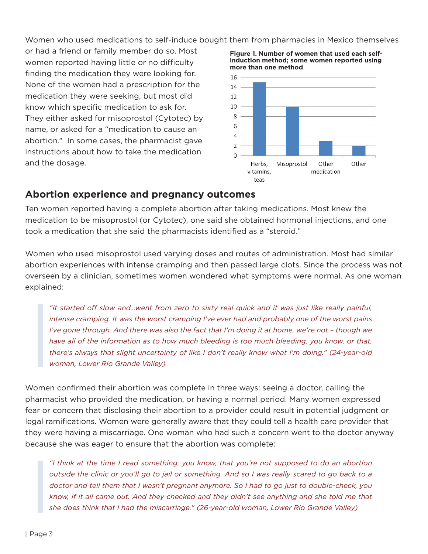Women who used medications to self-induce bought them from pharmacies in Mexico themselves

or had a friend or family member do so. Most women reported having little or no difficulty finding the medication they were looking for. None of the women had a prescription for the medication they were seeking, but most did know which specific medication to ask for. They either asked for misoprostol (Cytotec) by name, or asked for a "medication to cause an abortion." In some cases, the pharmacist gave instructions about how to take the medication and the dosage.





#### **Abortion experience and pregnancy outcomes**

Ten women reported having a complete abortion after taking medications. Most knew the medication to be misoprostol (or Cytotec), one said she obtained hormonal injections, and one took a medication that she said the pharmacists identified as a "steroid."

Women who used misoprostol used varying doses and routes of administration. Most had similar abortion experiences with intense cramping and then passed large clots. Since the process was not overseen by a clinician, sometimes women wondered what symptoms were normal. As one woman explained:

*"It started off slow and…went from zero to sixty real quick and it was just like really painful, intense cramping. It was the worst cramping I've ever had and probably one of the worst pains I've gone through. And there was also the fact that I'm doing it at home, we're not - though we have all of the information as to how much bleeding is too much bleeding, you know, or that, there's always that slight uncertainty of like I don't really know what I'm doing." (24-year-old woman, Lower Rio Grande Valley)*

Women confirmed their abortion was complete in three ways: seeing a doctor, calling the pharmacist who provided the medication, or having a normal period. Many women expressed fear or concern that disclosing their abortion to a provider could result in potential judgment or legal ramifications. Women were generally aware that they could tell a health care provider that they were having a miscarriage. One woman who had such a concern went to the doctor anyway because she was eager to ensure that the abortion was complete:

*"I think at the time I read something, you know, that you're not supposed to do an abortion outside the clinic or you'll go to jail or something. And so I was really scared to go back to a doctor and tell them that I wasn't pregnant anymore. So I had to go just to double-check, you know, if it all came out. And they checked and they didn't see anything and she told me that she does think that I had the miscarriage." (26-year-old woman, Lower Rio Grande Valley)*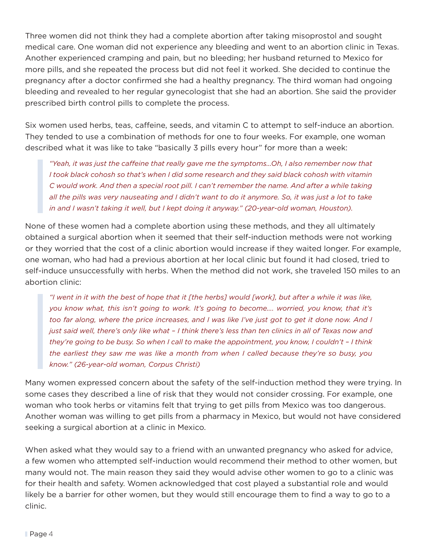Three women did not think they had a complete abortion after taking misoprostol and sought medical care. One woman did not experience any bleeding and went to an abortion clinic in Texas. Another experienced cramping and pain, but no bleeding; her husband returned to Mexico for more pills, and she repeated the process but did not feel it worked. She decided to continue the pregnancy after a doctor confirmed she had a healthy pregnancy. The third woman had ongoing bleeding and revealed to her regular gynecologist that she had an abortion. She said the provider prescribed birth control pills to complete the process.

Six women used herbs, teas, caffeine, seeds, and vitamin C to attempt to self-induce an abortion. They tended to use a combination of methods for one to four weeks. For example, one woman described what it was like to take "basically 3 pills every hour" for more than a week:

*"Yeah, it was just the caffeine that really gave me the symptoms…Oh, I also remember now that I took black cohosh so that's when I did some research and they said black cohosh with vitamin C would work. And then a special root pill. I can't remember the name. And after a while taking all the pills was very nauseating and I didn't want to do it anymore. So, it was just a lot to take in and I wasn't taking it well, but I kept doing it anyway." (20-year-old woman, Houston).* 

None of these women had a complete abortion using these methods, and they all ultimately obtained a surgical abortion when it seemed that their self-induction methods were not working or they worried that the cost of a clinic abortion would increase if they waited longer. For example, one woman, who had had a previous abortion at her local clinic but found it had closed, tried to self-induce unsuccessfully with herbs. When the method did not work, she traveled 150 miles to an abortion clinic:

*"I went in it with the best of hope that it [the herbs] would [work], but after a while it was like, you know what, this isn't going to work. It's going to become…. worried, you know, that it's too far along, where the price increases, and I was like I've just got to get it done now. And I just said well, there's only like what – I think there's less than ten clinics in all of Texas now and they're going to be busy. So when I call to make the appointment, you know, I couldn't – I think the earliest they saw me was like a month from when I called because they're so busy, you know." (26-year-old woman, Corpus Christi)*

Many women expressed concern about the safety of the self-induction method they were trying. In some cases they described a line of risk that they would not consider crossing. For example, one woman who took herbs or vitamins felt that trying to get pills from Mexico was too dangerous. Another woman was willing to get pills from a pharmacy in Mexico, but would not have considered seeking a surgical abortion at a clinic in Mexico.

When asked what they would say to a friend with an unwanted pregnancy who asked for advice, a few women who attempted self-induction would recommend their method to other women, but many would not. The main reason they said they would advise other women to go to a clinic was for their health and safety. Women acknowledged that cost played a substantial role and would likely be a barrier for other women, but they would still encourage them to find a way to go to a clinic.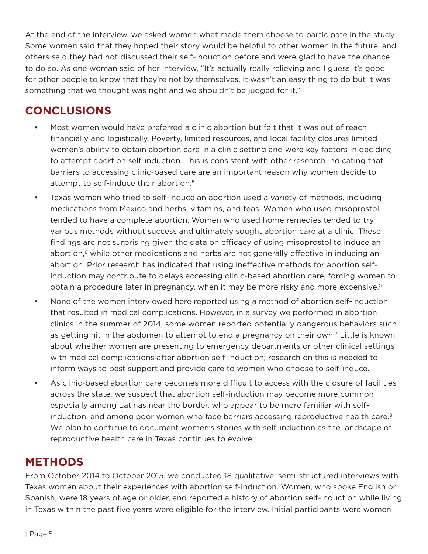At the end of the interview, we asked women what made them choose to participate in the study. Some women said that they hoped their story would be helpful to other women in the future, and others said they had not discussed their self-induction before and were glad to have the chance to do so. As one woman said of her interview, "It's actually really relieving and I guess it's good for other people to know that they're not by themselves. It wasn't an easy thing to do but it was something that we thought was right and we shouldn't be judged for it."

## **CONCLUSIONS**

- Most women would have preferred a clinic abortion but felt that it was out of reach financially and logistically. Poverty, limited resources, and local facility closures limited women's ability to obtain abortion care in a clinic setting and were key factors in deciding to attempt abortion self-induction. This is consistent with other research indicating that barriers to accessing clinic-based care are an important reason why women decide to attempt to self-induce their abortion.5
- Texas women who tried to self-induce an abortion used a variety of methods, including medications from Mexico and herbs, vitamins, and teas. Women who used misoprostol tended to have a complete abortion. Women who used home remedies tended to try various methods without success and ultimately sought abortion care at a clinic. These findings are not surprising given the data on efficacy of using misoprostol to induce an abortion, $6$  while other medications and herbs are not generally effective in inducing an abortion. Prior research has indicated that using ineffective methods for abortion selfinduction may contribute to delays accessing clinic-based abortion care, forcing women to obtain a procedure later in pregnancy, when it may be more risky and more expensive.5
- None of the women interviewed here reported using a method of abortion self-induction that resulted in medical complications. However, in a survey we performed in abortion clinics in the summer of 2014, some women reported potentially dangerous behaviors such as getting hit in the abdomen to attempt to end a pregnancy on their own.<sup>7</sup> Little is known about whether women are presenting to emergency departments or other clinical settings with medical complications after abortion self-induction; research on this is needed to inform ways to best support and provide care to women who choose to self-induce.
- As clinic-based abortion care becomes more difficult to access with the closure of facilities across the state, we suspect that abortion self-induction may become more common especially among Latinas near the border, who appear to be more familiar with selfinduction, and among poor women who face barriers accessing reproductive health care. $8$ We plan to continue to document women's stories with self-induction as the landscape of reproductive health care in Texas continues to evolve.

## **METHODS**

From October 2014 to October 2015, we conducted 18 qualitative, semi-structured interviews with Texas women about their experiences with abortion self-induction. Women, who spoke English or Spanish, were 18 years of age or older, and reported a history of abortion self-induction while living in Texas within the past five years were eligible for the interview. Initial participants were women